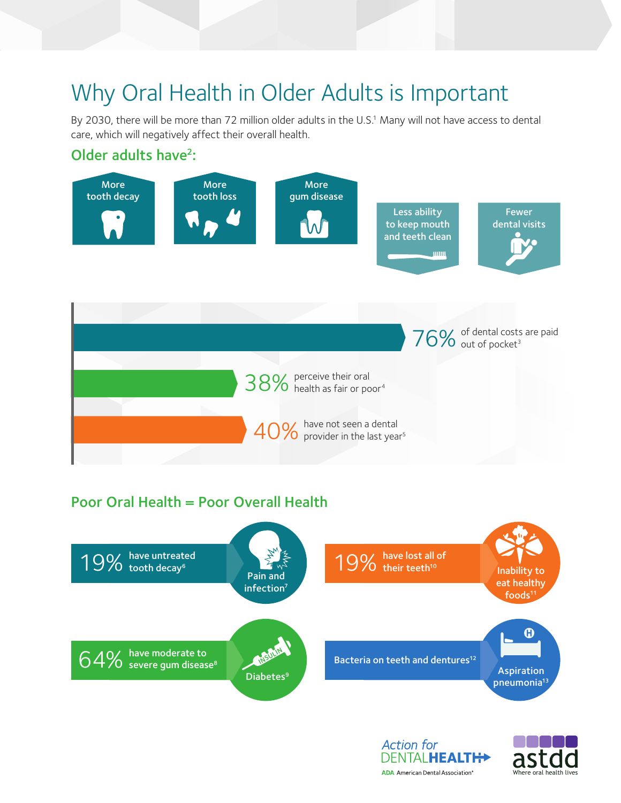## Why Oral Health in Older Adults is Important

By 2030, there will be more than 72 million older adults in the U.S.<sup>1</sup> Many will not have access to dental care, which will negatively affect their overall health.

## Older adults have<sup>2</sup>: